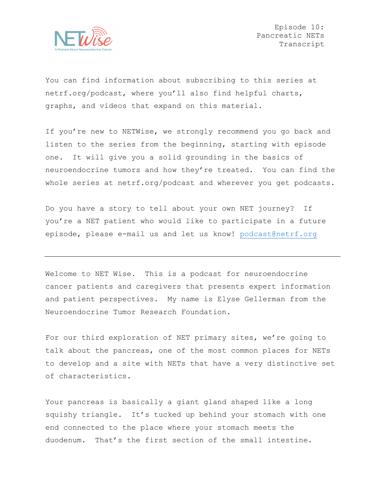

You can find information about subscribing to this series at netrf.org/podcast, where you'll also find helpful charts, graphs, and videos that expand on this material.

If you're new to NETWise, we strongly recommend you go back and listen to the series from the beginning, starting with episode one. It will give you a solid grounding in the basics of neuroendocrine tumors and how they're treated. You can find the whole series at netrf.org/podcast and wherever you get podcasts.

Do you have a story to tell about your own NET journey? If you're a NET patient who would like to participate in a future episode, please e-mail us and let us know! podcast@netrf.org

Welcome to NET Wise. This is a podcast for neuroendocrine cancer patients and caregivers that presents expert information and patient perspectives. My name is Elyse Gellerman from the Neuroendocrine Tumor Research Foundation.

For our third exploration of NET primary sites, we're going to talk about the pancreas, one of the most common places for NETs to develop and a site with NETs that have a very distinctive set of characteristics.

Your pancreas is basically a giant gland shaped like a long squishy triangle. It's tucked up behind your stomach with one end connected to the place where your stomach meets the duodenum. That's the first section of the small intestine.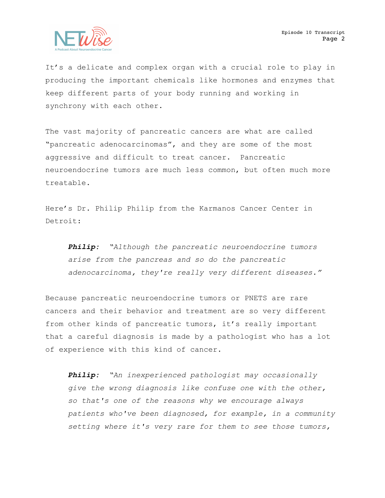

It's a delicate and complex organ with a crucial role to play in producing the important chemicals like hormones and enzymes that keep different parts of your body running and working in synchrony with each other.

The vast majority of pancreatic cancers are what are called "pancreatic adenocarcinomas", and they are some of the most aggressive and difficult to treat cancer. Pancreatic neuroendocrine tumors are much less common, but often much more treatable.

Here's Dr. Philip Philip from the Karmanos Cancer Center in Detroit:

*Philip: "Although the pancreatic neuroendocrine tumors arise from the pancreas and so do the pancreatic adenocarcinoma, they're really very different diseases."*

Because pancreatic neuroendocrine tumors or PNETS are rare cancers and their behavior and treatment are so very different from other kinds of pancreatic tumors, it's really important that a careful diagnosis is made by a pathologist who has a lot of experience with this kind of cancer.

*Philip: "An inexperienced pathologist may occasionally give the wrong diagnosis like confuse one with the other, so that's one of the reasons why we encourage always patients who've been diagnosed, for example, in a community setting where it's very rare for them to see those tumors,*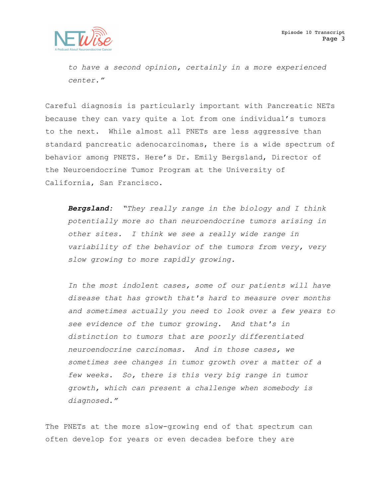

*to have a second opinion, certainly in a more experienced center."*

Careful diagnosis is particularly important with Pancreatic NETs because they can vary quite a lot from one individual's tumors to the next. While almost all PNETs are less aggressive than standard pancreatic adenocarcinomas, there is a wide spectrum of behavior among PNETS. Here's Dr. Emily Bergsland, Director of the Neuroendocrine Tumor Program at the University of California, San Francisco.

*Bergsland: "They really range in the biology and I think potentially more so than neuroendocrine tumors arising in other sites. I think we see a really wide range in variability of the behavior of the tumors from very, very slow growing to more rapidly growing.*

*In the most indolent cases, some of our patients will have disease that has growth that's hard to measure over months and sometimes actually you need to look over a few years to see evidence of the tumor growing. And that's in distinction to tumors that are poorly differentiated neuroendocrine carcinomas. And in those cases, we sometimes see changes in tumor growth over a matter of a few weeks. So, there is this very big range in tumor growth, which can present a challenge when somebody is diagnosed."* 

The PNETs at the more slow-growing end of that spectrum can often develop for years or even decades before they are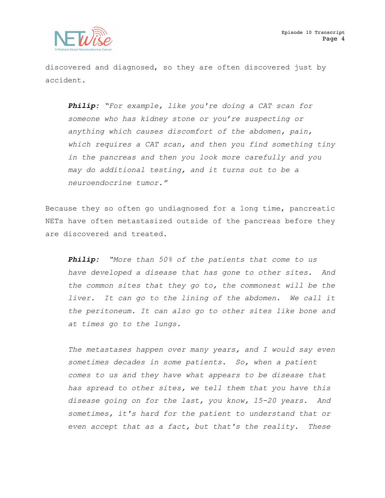

discovered and diagnosed, so they are often discovered just by accident.

*Philip: "For example, like you're doing a CAT scan for someone who has kidney stone or you're suspecting or anything which causes discomfort of the abdomen, pain, which requires a CAT scan, and then you find something tiny in the pancreas and then you look more carefully and you may do additional testing, and it turns out to be a neuroendocrine tumor."*

Because they so often go undiagnosed for a long time, pancreatic NETs have often metastasized outside of the pancreas before they are discovered and treated.

*Philip: "More than 50% of the patients that come to us have developed a disease that has gone to other sites. And the common sites that they go to, the commonest will be the liver. It can go to the lining of the abdomen. We call it the peritoneum. It can also go to other sites like bone and at times go to the lungs.*

*The metastases happen over many years, and I would say even sometimes decades in some patients. So, when a patient comes to us and they have what appears to be disease that has spread to other sites, we tell them that you have this disease going on for the last, you know, 15-20 years. And sometimes, it's hard for the patient to understand that or even accept that as a fact, but that's the reality. These*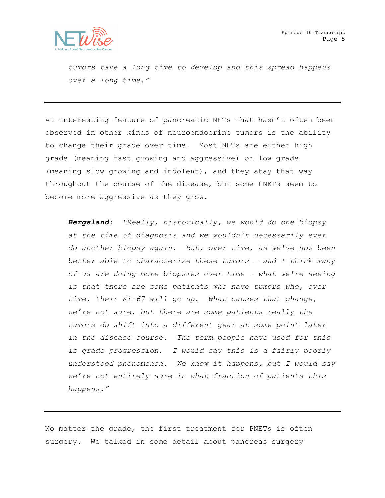

*tumors take a long time to develop and this spread happens over a long time."* 

An interesting feature of pancreatic NETs that hasn't often been observed in other kinds of neuroendocrine tumors is the ability to change their grade over time. Most NETs are either high grade (meaning fast growing and aggressive) or low grade (meaning slow growing and indolent), and they stay that way throughout the course of the disease, but some PNETs seem to become more aggressive as they grow.

*Bergsland: "Really, historically, we would do one biopsy at the time of diagnosis and we wouldn't necessarily ever do another biopsy again. But, over time, as we've now been better able to characterize these tumors – and I think many of us are doing more biopsies over time – what we're seeing is that there are some patients who have tumors who, over time, their Ki-67 will go up. What causes that change, we're not sure, but there are some patients really the tumors do shift into a different gear at some point later in the disease course. The term people have used for this is grade progression. I would say this is a fairly poorly understood phenomenon. We know it happens, but I would say we're not entirely sure in what fraction of patients this happens."* 

No matter the grade, the first treatment for PNETs is often surgery. We talked in some detail about pancreas surgery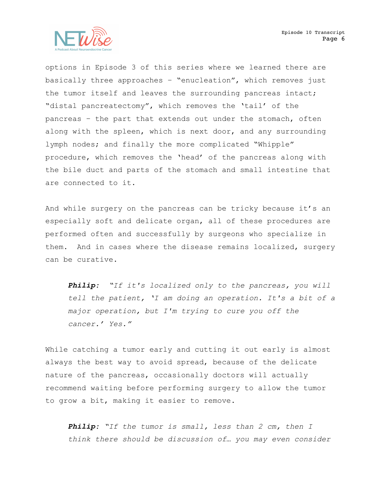

options in Episode 3 of this series where we learned there are basically three approaches – "enucleation", which removes just the tumor itself and leaves the surrounding pancreas intact; "distal pancreatectomy", which removes the 'tail' of the pancreas – the part that extends out under the stomach, often along with the spleen, which is next door, and any surrounding lymph nodes; and finally the more complicated "Whipple" procedure, which removes the 'head' of the pancreas along with the bile duct and parts of the stomach and small intestine that are connected to it.

And while surgery on the pancreas can be tricky because it's an especially soft and delicate organ, all of these procedures are performed often and successfully by surgeons who specialize in them. And in cases where the disease remains localized, surgery can be curative.

*Philip: "If it's localized only to the pancreas, you will tell the patient, 'I am doing an operation. It's a bit of a major operation, but I'm trying to cure you off the cancer.' Yes."*

While catching a tumor early and cutting it out early is almost always the best way to avoid spread, because of the delicate nature of the pancreas, occasionally doctors will actually recommend waiting before performing surgery to allow the tumor to grow a bit, making it easier to remove.

*Philip: "If the tumor is small, less than 2 cm, then I think there should be discussion of… you may even consider*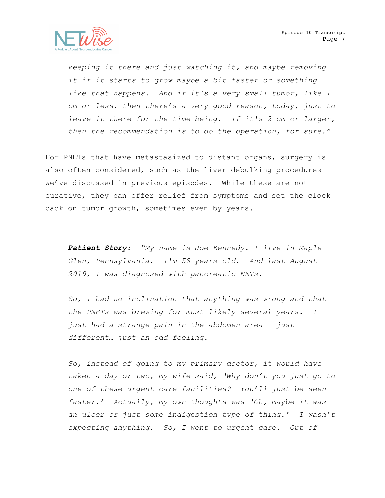*keeping it there and just watching it, and maybe removing it if it starts to grow maybe a bit faster or something like that happens. And if it's a very small tumor, like 1 cm or less, then there's a very good reason, today, just to leave it there for the time being. If it's 2 cm or larger, then the recommendation is to do the operation, for sure."* 

For PNETs that have metastasized to distant organs, surgery is also often considered, such as the liver debulking procedures we've discussed in previous episodes. While these are not curative, they can offer relief from symptoms and set the clock back on tumor growth, sometimes even by years.

*Patient Story: "My name is Joe Kennedy. I live in Maple Glen, Pennsylvania. I'm 58 years old. And last August 2019, I was diagnosed with pancreatic NETs.* 

*So, I had no inclination that anything was wrong and that the PNETs was brewing for most likely several years. I just had a strange pain in the abdomen area – just different… just an odd feeling.* 

*So, instead of going to my primary doctor, it would have taken a day or two, my wife said, 'Why don't you just go to one of these urgent care facilities? You'll just be seen faster.' Actually, my own thoughts was 'Oh, maybe it was an ulcer or just some indigestion type of thing.' I wasn't expecting anything. So, I went to urgent care. Out of*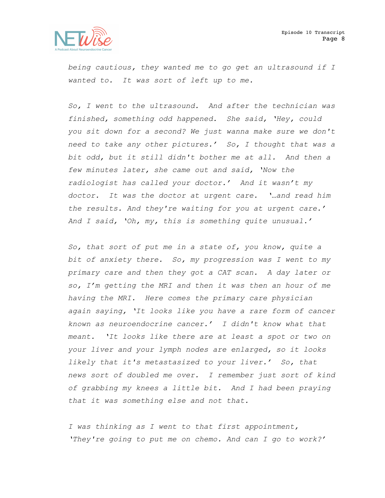

*being cautious, they wanted me to go get an ultrasound if I wanted to. It was sort of left up to me.* 

*So, I went to the ultrasound. And after the technician was finished, something odd happened. She said, 'Hey, could you sit down for a second? We just wanna make sure we don't need to take any other pictures.' So, I thought that was a bit odd, but it still didn't bother me at all. And then a few minutes later, she came out and said, 'Now the radiologist has called your doctor.' And it wasn't my doctor. It was the doctor at urgent care. '…and read him the results. And they're waiting for you at urgent care.' And I said, 'Oh, my, this is something quite unusual.'*

*So, that sort of put me in a state of, you know, quite a bit of anxiety there. So, my progression was I went to my primary care and then they got a CAT scan. A day later or so, I'm getting the MRI and then it was then an hour of me having the MRI. Here comes the primary care physician again saying, 'It looks like you have a rare form of cancer known as neuroendocrine cancer.' I didn't know what that meant. 'It looks like there are at least a spot or two on your liver and your lymph nodes are enlarged, so it looks likely that it's metastasized to your liver.' So, that news sort of doubled me over. I remember just sort of kind of grabbing my knees a little bit. And I had been praying that it was something else and not that.* 

*I was thinking as I went to that first appointment, 'They're going to put me on chemo. And can I go to work?'*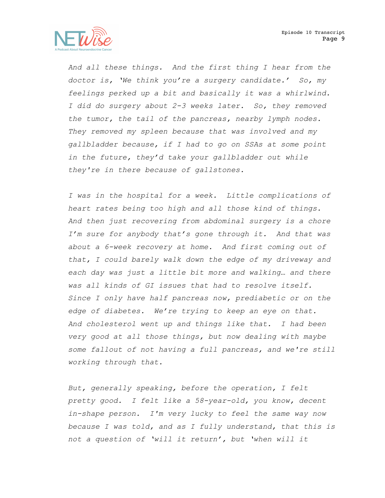

*And all these things. And the first thing I hear from the doctor is, 'We think you're a surgery candidate.' So, my feelings perked up a bit and basically it was a whirlwind. I did do surgery about 2-3 weeks later. So, they removed the tumor, the tail of the pancreas, nearby lymph nodes. They removed my spleen because that was involved and my gallbladder because, if I had to go on SSAs at some point in the future, they'd take your gallbladder out while they're in there because of gallstones.* 

*I was in the hospital for a week. Little complications of heart rates being too high and all those kind of things. And then just recovering from abdominal surgery is a chore I'm sure for anybody that's gone through it. And that was about a 6-week recovery at home. And first coming out of that, I could barely walk down the edge of my driveway and each day was just a little bit more and walking… and there was all kinds of GI issues that had to resolve itself. Since I only have half pancreas now, prediabetic or on the edge of diabetes. We're trying to keep an eye on that. And cholesterol went up and things like that. I had been very good at all those things, but now dealing with maybe some fallout of not having a full pancreas, and we're still working through that.* 

*But, generally speaking, before the operation, I felt pretty good. I felt like a 58-year-old, you know, decent in-shape person. I'm very lucky to feel the same way now because I was told, and as I fully understand, that this is not a question of 'will it return', but 'when will it*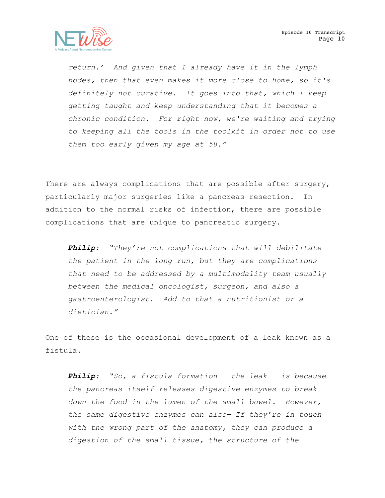

*return.' And given that I already have it in the lymph nodes, then that even makes it more close to home, so it's definitely not curative. It goes into that, which I keep getting taught and keep understanding that it becomes a chronic condition. For right now, we're waiting and trying to keeping all the tools in the toolkit in order not to use them too early given my age at 58."*

There are always complications that are possible after surgery, particularly major surgeries like a pancreas resection. In addition to the normal risks of infection, there are possible complications that are unique to pancreatic surgery.

*Philip: "They're not complications that will debilitate the patient in the long run, but they are complications that need to be addressed by a multimodality team usually between the medical oncologist, surgeon, and also a gastroenterologist. Add to that a nutritionist or a dietician."* 

One of these is the occasional development of a leak known as a fistula.

*Philip: "So, a fistula formation – the leak – is because the pancreas itself releases digestive enzymes to break down the food in the lumen of the small bowel. However, the same digestive enzymes can also— If they're in touch with the wrong part of the anatomy, they can produce a digestion of the small tissue, the structure of the*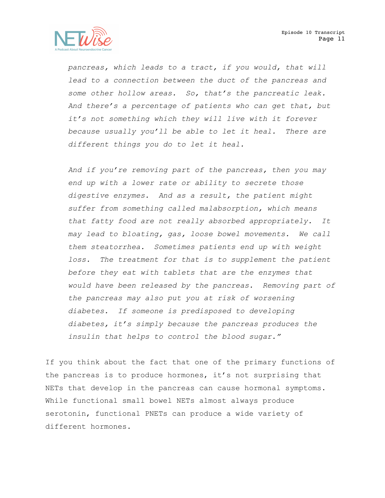

*pancreas, which leads to a tract, if you would, that will lead to a connection between the duct of the pancreas and some other hollow areas. So, that's the pancreatic leak. And there's a percentage of patients who can get that, but it's not something which they will live with it forever because usually you'll be able to let it heal. There are different things you do to let it heal.* 

*And if you're removing part of the pancreas, then you may end up with a lower rate or ability to secrete those digestive enzymes. And as a result, the patient might suffer from something called malabsorption, which means that fatty food are not really absorbed appropriately. It may lead to bloating, gas, loose bowel movements. We call them steatorrhea. Sometimes patients end up with weight*  loss. The treatment for that is to supplement the patient *before they eat with tablets that are the enzymes that would have been released by the pancreas. Removing part of the pancreas may also put you at risk of worsening diabetes. If someone is predisposed to developing diabetes, it's simply because the pancreas produces the insulin that helps to control the blood sugar."*

If you think about the fact that one of the primary functions of the pancreas is to produce hormones, it's not surprising that NETs that develop in the pancreas can cause hormonal symptoms. While functional small bowel NETs almost always produce serotonin, functional PNETs can produce a wide variety of different hormones.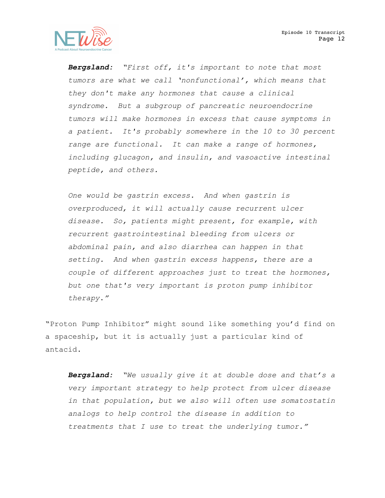

*Bergsland: "First off, it's important to note that most tumors are what we call 'nonfunctional', which means that they don't make any hormones that cause a clinical syndrome. But a subgroup of pancreatic neuroendocrine tumors will make hormones in excess that cause symptoms in a patient. It's probably somewhere in the 10 to 30 percent range are functional. It can make a range of hormones, including glucagon, and insulin, and vasoactive intestinal peptide, and others.* 

*One would be gastrin excess. And when gastrin is overproduced, it will actually cause recurrent ulcer disease. So, patients might present, for example, with recurrent gastrointestinal bleeding from ulcers or abdominal pain, and also diarrhea can happen in that setting. And when gastrin excess happens, there are a couple of different approaches just to treat the hormones, but one that's very important is proton pump inhibitor therapy*.*"*

"Proton Pump Inhibitor" might sound like something you'd find on a spaceship, but it is actually just a particular kind of antacid.

*Bergsland: "We usually give it at double dose and that's a very important strategy to help protect from ulcer disease in that population, but we also will often use somatostatin analogs to help control the disease in addition to treatments that I use to treat the underlying tumor."*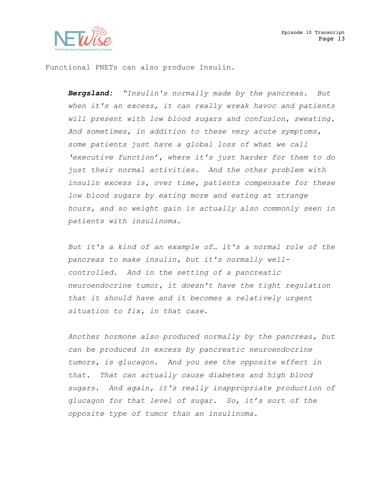

Functional PNETs can also produce Insulin.

*Bergsland: "Insulin's normally made by the pancreas. But when it's an excess, it can really wreak havoc and patients will present with low blood sugars and confusion, sweating. And sometimes, in addition to these very acute symptoms, some patients just have a global loss of what we call 'executive function', where it's just harder for them to do just their normal activities. And the other problem with insulin excess is, over time, patients compensate for these low blood sugars by eating more and eating at strange hours, and so weight gain is actually also commonly seen in patients with insulinoma.*

*But it's a kind of an example of… it's a normal role of the pancreas to make insulin, but it's normally wellcontrolled. And in the setting of a pancreatic neuroendocrine tumor, it doesn't have the tight regulation that it should have and it becomes a relatively urgent situation to fix, in that case.* 

*Another hormone also produced normally by the pancreas, but can be produced in excess by pancreatic neuroendocrine tumors, is glucagon. And you see the opposite effect in that. That can actually cause diabetes and high blood sugars. And again, it's really inappropriate production of glucagon for that level of sugar. So, it's sort of the opposite type of tumor than an insulinoma.*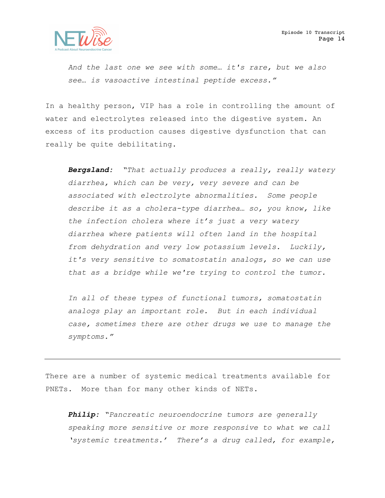

*And the last one we see with some… it's rare, but we also see… is vasoactive intestinal peptide excess."*

In a healthy person, VIP has a role in controlling the amount of water and electrolytes released into the digestive system. An excess of its production causes digestive dysfunction that can really be quite debilitating.

*Bergsland: "That actually produces a really, really watery diarrhea, which can be very, very severe and can be associated with electrolyte abnormalities. Some people describe it as a cholera-type diarrhea… so, you know, like the infection cholera where it's just a very watery diarrhea where patients will often land in the hospital from dehydration and very low potassium levels. Luckily, it's very sensitive to somatostatin analogs, so we can use that as a bridge while we're trying to control the tumor.* 

*In all of these types of functional tumors, somatostatin analogs play an important role. But in each individual case, sometimes there are other drugs we use to manage the symptoms."*

There are a number of systemic medical treatments available for PNETs. More than for many other kinds of NETs.

*Philip: "Pancreatic neuroendocrine tumors are generally speaking more sensitive or more responsive to what we call 'systemic treatments.' There's a drug called, for example,*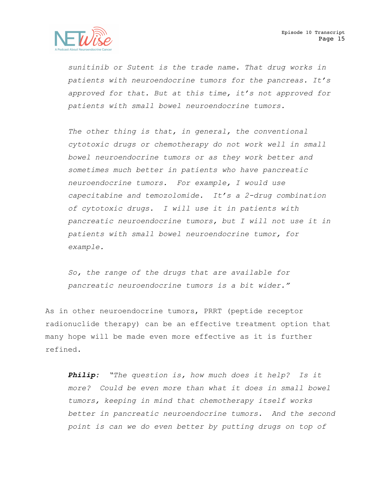

*sunitinib or Sutent is the trade name. That drug works in patients with neuroendocrine tumors for the pancreas. It's approved for that. But at this time, it's not approved for patients with small bowel neuroendocrine tumors.* 

*The other thing is that, in general, the conventional cytotoxic drugs or chemotherapy do not work well in small bowel neuroendocrine tumors or as they work better and sometimes much better in patients who have pancreatic neuroendocrine tumors. For example, I would use capecitabine and temozolomide. It's a 2-drug combination of cytotoxic drugs. I will use it in patients with pancreatic neuroendocrine tumors, but I will not use it in patients with small bowel neuroendocrine tumor, for example.* 

*So, the range of the drugs that are available for pancreatic neuroendocrine tumors is a bit wider."*

As in other neuroendocrine tumors, PRRT (peptide receptor radionuclide therapy) can be an effective treatment option that many hope will be made even more effective as it is further refined.

*Philip: "The question is, how much does it help? Is it more? Could be even more than what it does in small bowel tumors, keeping in mind that chemotherapy itself works better in pancreatic neuroendocrine tumors. And the second point is can we do even better by putting drugs on top of*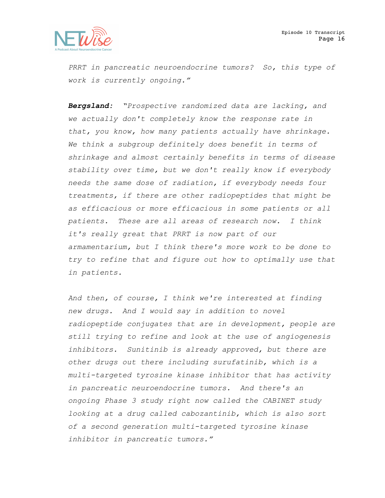

*PRRT in pancreatic neuroendocrine tumors? So, this type of work is currently ongoing."*

*Bergsland: "Prospective randomized data are lacking, and we actually don't completely know the response rate in that, you know, how many patients actually have shrinkage. We think a subgroup definitely does benefit in terms of shrinkage and almost certainly benefits in terms of disease stability over time, but we don't really know if everybody needs the same dose of radiation, if everybody needs four treatments, if there are other radiopeptides that might be as efficacious or more efficacious in some patients or all patients. These are all areas of research now. I think it's really great that PRRT is now part of our armamentarium, but I think there's more work to be done to try to refine that and figure out how to optimally use that in patients.* 

*And then, of course, I think we're interested at finding new drugs. And I would say in addition to novel radiopeptide conjugates that are in development, people are still trying to refine and look at the use of angiogenesis inhibitors. Sunitinib is already approved, but there are other drugs out there including surufatinib, which is a multi-targeted tyrosine kinase inhibitor that has activity in pancreatic neuroendocrine tumors. And there's an ongoing Phase 3 study right now called the CABINET study looking at a drug called cabozantinib, which is also sort of a second generation multi-targeted tyrosine kinase inhibitor in pancreatic tumors."*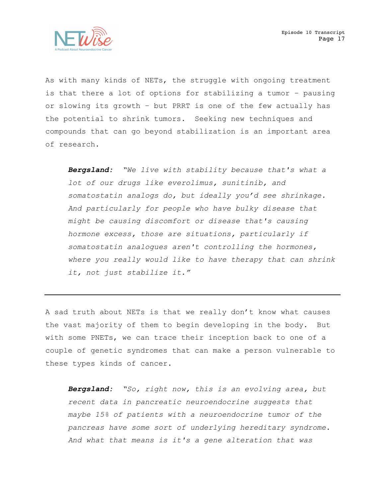

As with many kinds of NETs, the struggle with ongoing treatment is that there a lot of options for stabilizing a tumor – pausing or slowing its growth – but PRRT is one of the few actually has the potential to shrink tumors. Seeking new techniques and compounds that can go beyond stabilization is an important area of research.

*Bergsland: "We live with stability because that's what a lot of our drugs like everolimus, sunitinib, and somatostatin analogs do, but ideally you'd see shrinkage. And particularly for people who have bulky disease that might be causing discomfort or disease that's causing hormone excess, those are situations, particularly if somatostatin analogues aren't controlling the hormones, where you really would like to have therapy that can shrink it, not just stabilize it."*

A sad truth about NETs is that we really don't know what causes the vast majority of them to begin developing in the body. But with some PNETs, we can trace their inception back to one of a couple of genetic syndromes that can make a person vulnerable to these types kinds of cancer.

*Bergsland: "So, right now, this is an evolving area, but recent data in pancreatic neuroendocrine suggests that maybe 15% of patients with a neuroendocrine tumor of the pancreas have some sort of underlying hereditary syndrome. And what that means is it's a gene alteration that was*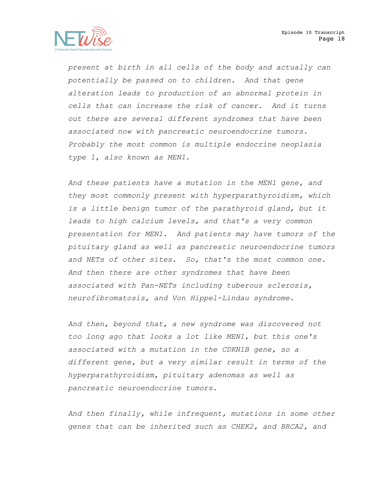

*present at birth in all cells of the body and actually can potentially be passed on to children. And that gene alteration leads to production of an abnormal protein in cells that can increase the risk of cancer. And it turns out there are several different syndromes that have been associated now with pancreatic neuroendocrine tumors. Probably the most common is multiple endocrine neoplasia type 1, also known as MEN1.* 

*And these patients have a mutation in the MEN1 gene, and they most commonly present with hyperparathyroidism, which is a little benign tumor of the parathyroid gland, but it leads to high calcium levels, and that's a very common presentation for MEN1. And patients may have tumors of the pituitary gland as well as pancreatic neuroendocrine tumors and NETs of other sites. So, that's the most common one. And then there are other syndromes that have been associated with Pan-NETs including tuberous sclerosis, neurofibromatosis, and Von Hippel-Lindau syndrome.* 

*And then, beyond that, a new syndrome was discovered not too long ago that looks a lot like MEN1, but this one's associated with a mutation in the CDKN1B gene, so a different gene, but a very similar result in terms of the hyperparathyroidism, pituitary adenomas as well as pancreatic neuroendocrine tumors.*

*And then finally, while infrequent, mutations in some other genes that can be inherited such as CHEK2, and BRCA2, and*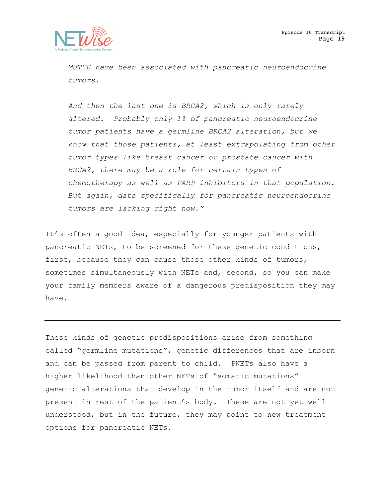

*MUTYH have been associated with pancreatic neuroendocrine tumors.*

*And then the last one is BRCA2, which is only rarely altered. Probably only 1% of pancreatic neuroendocrine tumor patients have a germline BRCA2 alteration, but we know that those patients, at least extrapolating from other tumor types like breast cancer or prostate cancer with BRCA2, there may be a role for certain types of chemotherapy as well as PARP inhibitors in that population. But again, data specifically for pancreatic neuroendocrine tumors are lacking right now."*

It's often a good idea, especially for younger patients with pancreatic NETs, to be screened for these genetic conditions, first, because they can cause those other kinds of tumors, sometimes simultaneously with NETs and, second, so you can make your family members aware of a dangerous predisposition they may have.

These kinds of genetic predispositions arise from something called "germline mutations", genetic differences that are inborn and can be passed from parent to child. PNETs also have a higher likelihood than other NETs of "somatic mutations" – genetic alterations that develop in the tumor itself and are not present in rest of the patient's body. These are not yet well understood, but in the future, they may point to new treatment options for pancreatic NETs.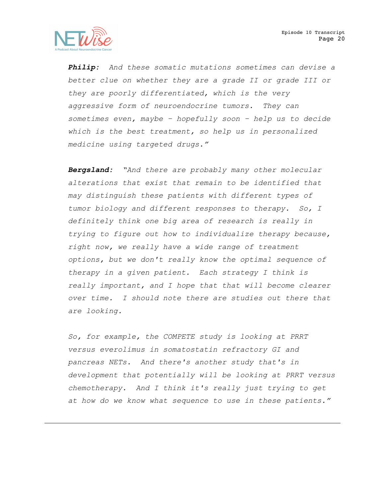

*Philip: And these somatic mutations sometimes can devise a better clue on whether they are a grade II or grade III or they are poorly differentiated, which is the very aggressive form of neuroendocrine tumors. They can sometimes even, maybe – hopefully soon – help us to decide which is the best treatment, so help us in personalized medicine using targeted drugs."*

*Bergsland: "And there are probably many other molecular alterations that exist that remain to be identified that may distinguish these patients with different types of tumor biology and different responses to therapy. So, I definitely think one big area of research is really in trying to figure out how to individualize therapy because, right now, we really have a wide range of treatment options, but we don't really know the optimal sequence of therapy in a given patient. Each strategy I think is really important, and I hope that that will become clearer over time. I should note there are studies out there that are looking.*

*So, for example, the COMPETE study is looking at PRRT versus everolimus in somatostatin refractory GI and pancreas NETs. And there's another study that's in development that potentially will be looking at PRRT versus chemotherapy. And I think it's really just trying to get at how do we know what sequence to use in these patients."*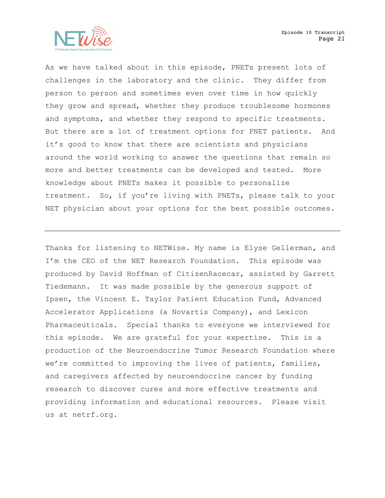

As we have talked about in this episode, PNETs present lots of challenges in the laboratory and the clinic. They differ from person to person and sometimes even over time in how quickly they grow and spread, whether they produce troublesome hormones and symptoms, and whether they respond to specific treatments. But there are a lot of treatment options for PNET patients. And it's good to know that there are scientists and physicians around the world working to answer the questions that remain so more and better treatments can be developed and tested. More knowledge about PNETs makes it possible to personalize treatment. So, if you're living with PNETs, please talk to your NET physician about your options for the best possible outcomes.

Thanks for listening to NETWise. My name is Elyse Gellerman, and I'm the CEO of the NET Research Foundation. This episode was produced by David Hoffman of CitizenRacecar, assisted by Garrett Tiedemann. It was made possible by the generous support of Ipsen, the Vincent E. Taylor Patient Education Fund, Advanced Accelerator Applications (a Novartis Company), and Lexicon Pharmaceuticals. Special thanks to everyone we interviewed for this episode. We are grateful for your expertise. This is a production of the Neuroendocrine Tumor Research Foundation where we're committed to improving the lives of patients, families, and caregivers affected by neuroendocrine cancer by funding research to discover cures and more effective treatments and providing information and educational resources. Please visit us at netrf.org.